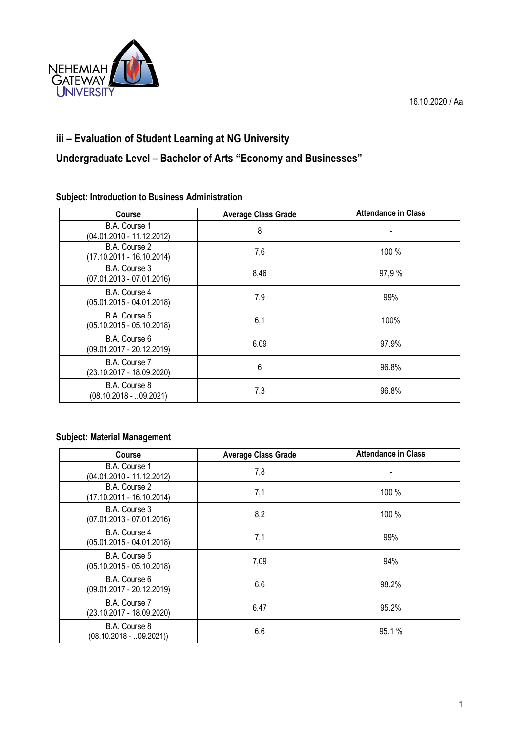

## **iii – Evaluation of Student Learning at NG University**

# **Undergraduate Level – Bachelor of Arts "Economy and Businesses"**

### **Subject: Introduction to Business Administration**

| <b>Course</b>                                | <b>Average Class Grade</b> | <b>Attendance in Class</b> |
|----------------------------------------------|----------------------------|----------------------------|
| B.A. Course 1<br>(04.01.2010 - 11.12.2012)   | 8                          |                            |
| B.A. Course 2<br>(17.10.2011 - 16.10.2014)   | 7,6                        | 100 %                      |
| B.A. Course 3<br>$(07.01.2013 - 07.01.2016)$ | 8,46                       | 97,9 %                     |
| B.A. Course 4<br>$(05.01.2015 - 04.01.2018)$ | 7,9                        | 99%                        |
| B.A. Course 5<br>$(05.10.2015 - 05.10.2018)$ | 6,1                        | 100%                       |
| B.A. Course 6<br>$(09.01.2017 - 20.12.2019)$ | 6.09                       | 97.9%                      |
| B.A. Course 7<br>(23.10.2017 - 18.09.2020)   | 6                          | 96.8%                      |
| B.A. Course 8<br>$(08.10.2018 - 0.09.2021)$  | 7.3                        | 96.8%                      |

### **Subject: Material Management**

| <b>Course</b>                                | <b>Average Class Grade</b> | <b>Attendance in Class</b> |
|----------------------------------------------|----------------------------|----------------------------|
| B.A. Course 1<br>(04.01.2010 - 11.12.2012)   | 7,8                        |                            |
| B.A. Course 2<br>(17.10.2011 - 16.10.2014)   | 7,1                        | 100 %                      |
| B.A. Course 3<br>$(07.01.2013 - 07.01.2016)$ | 8,2                        | 100 %                      |
| B.A. Course 4<br>$(05.01.2015 - 04.01.2018)$ | 7,1                        | 99%                        |
| B.A. Course 5<br>$(05.10.2015 - 05.10.2018)$ | 7,09                       | 94%                        |
| B.A. Course 6<br>$(09.01.2017 - 20.12.2019)$ | 6.6                        | 98.2%                      |
| B.A. Course 7<br>$(23.10.2017 - 18.09.2020)$ | 6.47                       | 95.2%                      |
| B.A. Course 8<br>$(08.10.2018 - .09.2021))$  | 6.6                        | 95.1%                      |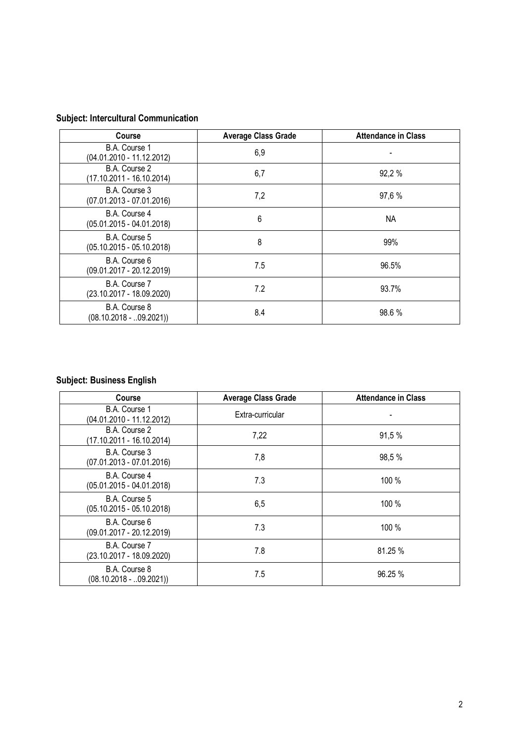# **Subject: Intercultural Communication**

| Course                                       | <b>Average Class Grade</b> | <b>Attendance in Class</b> |
|----------------------------------------------|----------------------------|----------------------------|
| B.A. Course 1<br>(04.01.2010 - 11.12.2012)   | 6,9                        |                            |
| B.A. Course 2<br>(17.10.2011 - 16.10.2014)   | 6,7                        | 92,2 %                     |
| B.A. Course 3<br>$(07.01.2013 - 07.01.2016)$ | 7,2                        | 97,6 %                     |
| B.A. Course 4<br>$(05.01.2015 - 04.01.2018)$ | 6                          | ΝA                         |
| B.A. Course 5<br>$(05.10.2015 - 05.10.2018)$ | 8                          | 99%                        |
| B.A. Course 6<br>$(09.01.2017 - 20.12.2019)$ | 7.5                        | 96.5%                      |
| B.A. Course 7<br>(23.10.2017 - 18.09.2020)   | 7.2                        | 93.7%                      |
| B.A. Course 8<br>$(08.10.2018 - 0.09.2021)$  | 8.4                        | 98.6%                      |

### **Subject: Business English**

| <b>Course</b>                                | <b>Average Class Grade</b> | <b>Attendance in Class</b> |
|----------------------------------------------|----------------------------|----------------------------|
| B.A. Course 1<br>(04.01.2010 - 11.12.2012)   | Extra-curricular           |                            |
| B.A. Course 2<br>(17.10.2011 - 16.10.2014)   | 7,22                       | 91,5 %                     |
| B.A. Course 3<br>$(07.01.2013 - 07.01.2016)$ | 7,8                        | 98,5 %                     |
| B.A. Course 4<br>$(05.01.2015 - 04.01.2018)$ | 7.3                        | 100 %                      |
| B.A. Course 5<br>$(05.10.2015 - 05.10.2018)$ | 6,5                        | 100 %                      |
| B.A. Course 6<br>$(09.01.2017 - 20.12.2019)$ | 7.3                        | 100 %                      |
| B.A. Course 7<br>$(23.10.2017 - 18.09.2020)$ | 7.8                        | 81.25 %                    |
| B.A. Course 8<br>$(08.10.2018 - 0.09.2021)$  | 7.5                        | 96.25 %                    |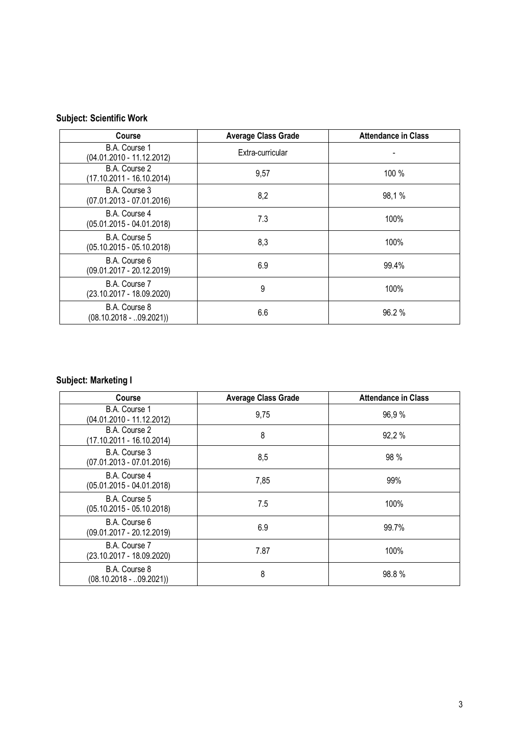# **Subject: Scientific Work**

| <b>Course</b>                                | <b>Average Class Grade</b> | <b>Attendance in Class</b> |
|----------------------------------------------|----------------------------|----------------------------|
| B.A. Course 1<br>(04.01.2010 - 11.12.2012)   | Extra-curricular           |                            |
| B.A. Course 2<br>(17.10.2011 - 16.10.2014)   | 9,57                       | 100 %                      |
| B.A. Course 3<br>$(07.01.2013 - 07.01.2016)$ | 8,2                        | 98,1%                      |
| B.A. Course 4<br>$(05.01.2015 - 04.01.2018)$ | 7.3                        | 100%                       |
| B.A. Course 5<br>$(05.10.2015 - 05.10.2018)$ | 8,3                        | 100%                       |
| B.A. Course 6<br>$(09.01.2017 - 20.12.2019)$ | 6.9                        | 99.4%                      |
| B.A. Course 7<br>(23.10.2017 - 18.09.2020)   | 9                          | 100%                       |
| B.A. Course 8<br>$(08.10.2018 - 0.09.2021)$  | 6.6                        | 96.2%                      |

# **Subject: Marketing I**

| <b>Course</b>                                | <b>Average Class Grade</b> | <b>Attendance in Class</b> |
|----------------------------------------------|----------------------------|----------------------------|
| B.A. Course 1<br>(04.01.2010 - 11.12.2012)   | 9,75                       | 96,9%                      |
| B.A. Course 2<br>(17.10.2011 - 16.10.2014)   | 8                          | 92,2 %                     |
| B.A. Course 3<br>$(07.01.2013 - 07.01.2016)$ | 8,5                        | 98 %                       |
| B.A. Course 4<br>$(05.01.2015 - 04.01.2018)$ | 7,85                       | 99%                        |
| B.A. Course 5<br>$(05.10.2015 - 05.10.2018)$ | 7.5                        | 100%                       |
| B.A. Course 6<br>$(09.01.2017 - 20.12.2019)$ | 6.9                        | 99.7%                      |
| B.A. Course 7<br>$(23.10.2017 - 18.09.2020)$ | 7.87                       | 100%                       |
| B.A. Course 8<br>$(08.10.2018 - 0.09.2021)$  | 8                          | 98.8%                      |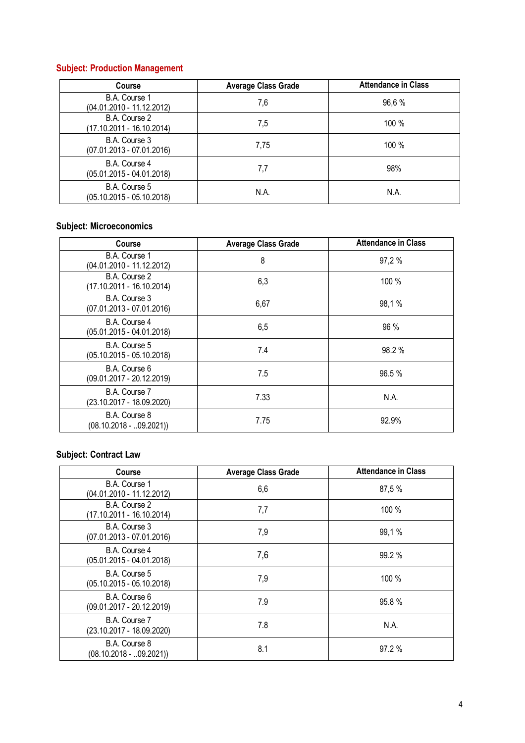### **Subject: Production Management**

| <b>Course</b>                                | <b>Average Class Grade</b> | <b>Attendance in Class</b> |
|----------------------------------------------|----------------------------|----------------------------|
| B.A. Course 1<br>$(04.01.2010 - 11.12.2012)$ | 7,6                        | 96,6 %                     |
| B.A. Course 2<br>(17.10.2011 - 16.10.2014)   | 7,5                        | 100 %                      |
| B.A. Course 3<br>$(07.01.2013 - 07.01.2016)$ | 7,75                       | 100 %                      |
| B.A. Course 4<br>$(05.01.2015 - 04.01.2018)$ | 7,7                        | 98%                        |
| B.A. Course 5<br>$(05.10.2015 - 05.10.2018)$ | N.A.                       | N.A.                       |

#### **Subject: Microeconomics**

| <b>Course</b>                                | <b>Average Class Grade</b> | <b>Attendance in Class</b> |
|----------------------------------------------|----------------------------|----------------------------|
| B.A. Course 1<br>(04.01.2010 - 11.12.2012)   | 8                          | 97,2 %                     |
| B.A. Course 2<br>(17.10.2011 - 16.10.2014)   | 6,3                        | 100 %                      |
| B.A. Course 3<br>$(07.01.2013 - 07.01.2016)$ | 6,67                       | 98,1%                      |
| B.A. Course 4<br>$(05.01.2015 - 04.01.2018)$ | 6,5                        | 96 %                       |
| B.A. Course 5<br>$(05.10.2015 - 05.10.2018)$ | 7.4                        | 98.2%                      |
| B.A. Course 6<br>(09.01.2017 - 20.12.2019)   | 7.5                        | 96.5%                      |
| B.A. Course 7<br>(23.10.2017 - 18.09.2020)   | 7.33                       | N.A.                       |
| B.A. Course 8<br>$(08.10.2018 - .09.2021))$  | 7.75                       | 92.9%                      |

## **Subject: Contract Law**

| Course                                      | <b>Average Class Grade</b> | <b>Attendance in Class</b> |
|---------------------------------------------|----------------------------|----------------------------|
| B.A. Course 1<br>(04.01.2010 - 11.12.2012)  | 6,6                        | 87,5 %                     |
| B.A. Course 2<br>(17.10.2011 - 16.10.2014)  | 7,7                        | 100 %                      |
| B.A. Course 3<br>(07.01.2013 - 07.01.2016)  | 7,9                        | 99,1%                      |
| B.A. Course 4<br>(05.01.2015 - 04.01.2018)  | 7,6                        | 99.2 %                     |
| B.A. Course 5<br>(05.10.2015 - 05.10.2018)  | 7,9                        | 100 %                      |
| B.A. Course 6<br>(09.01.2017 - 20.12.2019)  | 7.9                        | 95.8%                      |
| B.A. Course 7<br>(23.10.2017 - 18.09.2020)  | 7.8                        | N.A.                       |
| B.A. Course 8<br>$(08.10.2018 - .09.2021))$ | 8.1                        | 97.2%                      |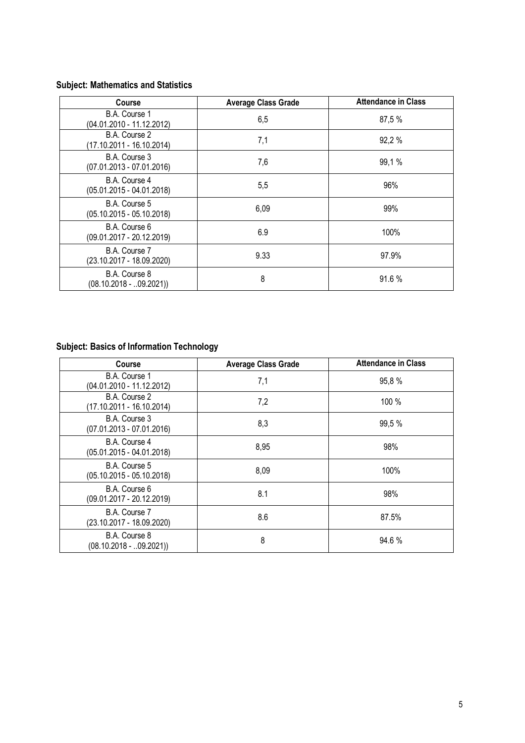# **Subject: Mathematics and Statistics**

| <b>Course</b>                                | <b>Average Class Grade</b> | <b>Attendance in Class</b> |
|----------------------------------------------|----------------------------|----------------------------|
| B.A. Course 1<br>(04.01.2010 - 11.12.2012)   | 6,5                        | 87,5 %                     |
| B.A. Course 2<br>(17.10.2011 - 16.10.2014)   | 7,1                        | 92,2 %                     |
| B.A. Course 3<br>$(07.01.2013 - 07.01.2016)$ | 7,6                        | 99,1%                      |
| B.A. Course 4<br>$(05.01.2015 - 04.01.2018)$ | 5,5                        | 96%                        |
| B.A. Course 5<br>$(05.10.2015 - 05.10.2018)$ | 6,09                       | 99%                        |
| B.A. Course 6<br>$(09.01.2017 - 20.12.2019)$ | 6.9                        | 100%                       |
| B.A. Course 7<br>(23.10.2017 - 18.09.2020)   | 9.33                       | 97.9%                      |
| B.A. Course 8<br>$(08.10.2018 - 0.09.2021)$  | 8                          | 91.6%                      |

# **Subject: Basics of Information Technology**

| <b>Course</b>                                | <b>Average Class Grade</b> | <b>Attendance in Class</b> |
|----------------------------------------------|----------------------------|----------------------------|
| B.A. Course 1<br>(04.01.2010 - 11.12.2012)   | 7,1                        | 95,8%                      |
| B.A. Course 2<br>(17.10.2011 - 16.10.2014)   | 7,2                        | 100 %                      |
| B.A. Course 3<br>$(07.01.2013 - 07.01.2016)$ | 8,3                        | 99,5 %                     |
| B.A. Course 4<br>$(05.01.2015 - 04.01.2018)$ | 8,95                       | 98%                        |
| B.A. Course 5<br>$(05.10.2015 - 05.10.2018)$ | 8,09                       | 100%                       |
| B.A. Course 6<br>$(09.01.2017 - 20.12.2019)$ | 8.1                        | 98%                        |
| B.A. Course 7<br>(23.10.2017 - 18.09.2020)   | 8.6                        | 87.5%                      |
| B.A. Course 8<br>$(08.10.2018 - 0.09.2021)$  | 8                          | 94.6%                      |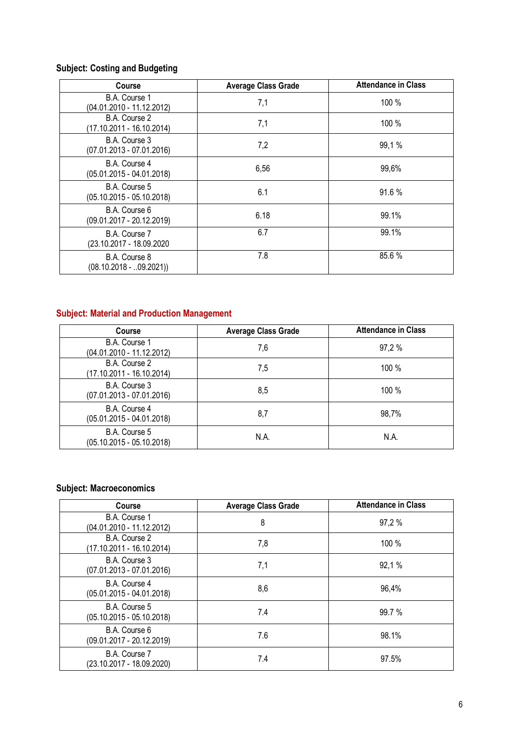# **Subject: Costing and Budgeting**

| Course                                       | <b>Average Class Grade</b> | <b>Attendance in Class</b> |
|----------------------------------------------|----------------------------|----------------------------|
| B.A. Course 1<br>(04.01.2010 - 11.12.2012)   | 7,1                        | 100 %                      |
| B.A. Course 2<br>(17.10.2011 - 16.10.2014)   | 7,1                        | 100 %                      |
| B.A. Course 3<br>$(07.01.2013 - 07.01.2016)$ | 7,2                        | 99,1%                      |
| B.A. Course 4<br>$(05.01.2015 - 04.01.2018)$ | 6,56                       | 99,6%                      |
| B.A. Course 5<br>$(05.10.2015 - 05.10.2018)$ | 6.1                        | 91.6%                      |
| B.A. Course 6<br>$(09.01.2017 - 20.12.2019)$ | 6.18                       | 99.1%                      |
| B.A. Course 7<br>(23.10.2017 - 18.09.2020    | 6.7                        | 99.1%                      |
| B.A. Course 8<br>$(08.10.2018 - 0.09.2021)$  | 7.8                        | 85.6%                      |

#### **Subject: Material and Production Management**

| <b>Course</b>                                | <b>Average Class Grade</b> | <b>Attendance in Class</b> |
|----------------------------------------------|----------------------------|----------------------------|
| B.A. Course 1<br>(04.01.2010 - 11.12.2012)   | 7,6                        | 97,2 %                     |
| B.A. Course 2<br>(17.10.2011 - 16.10.2014)   | 7,5                        | 100 %                      |
| B.A. Course 3<br>$(07.01.2013 - 07.01.2016)$ | 8,5                        | 100 %                      |
| B.A. Course 4<br>(05.01.2015 - 04.01.2018)   | 8,7                        | 98,7%                      |
| B.A. Course 5<br>$(05.10.2015 - 05.10.2018)$ | N.A.                       | N.A.                       |

#### **Subject: Macroeconomics**

| <b>Course</b>                                | <b>Average Class Grade</b> | <b>Attendance in Class</b> |
|----------------------------------------------|----------------------------|----------------------------|
| B.A. Course 1<br>$(04.01.2010 - 11.12.2012)$ | 8                          | 97,2 %                     |
| B.A. Course 2<br>(17.10.2011 - 16.10.2014)   | 7,8                        | 100 %                      |
| B.A. Course 3<br>(07.01.2013 - 07.01.2016)   | 7,1                        | 92,1 %                     |
| B.A. Course 4<br>(05.01.2015 - 04.01.2018)   | 8,6                        | 96,4%                      |
| B.A. Course 5<br>$(05.10.2015 - 05.10.2018)$ | 7.4                        | 99.7 %                     |
| B.A. Course 6<br>(09.01.2017 - 20.12.2019)   | 7.6                        | 98.1%                      |
| B.A. Course 7<br>(23.10.2017 - 18.09.2020)   | 7.4                        | 97.5%                      |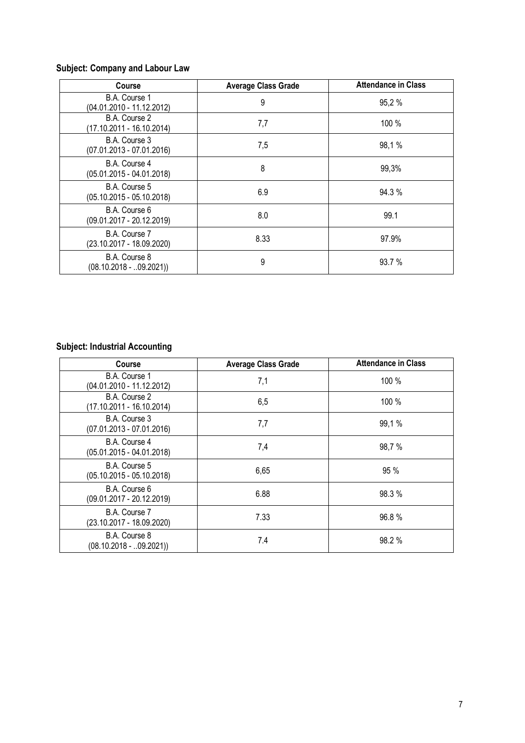# **Subject: Company and Labour Law**

| Course                                       | <b>Average Class Grade</b> | <b>Attendance in Class</b> |
|----------------------------------------------|----------------------------|----------------------------|
| B.A. Course 1<br>(04.01.2010 - 11.12.2012)   | 9                          | 95,2%                      |
| B.A. Course 2<br>(17.10.2011 - 16.10.2014)   | 7,7                        | 100 %                      |
| B.A. Course 3<br>$(07.01.2013 - 07.01.2016)$ | 7,5                        | 98,1%                      |
| B.A. Course 4<br>$(05.01.2015 - 04.01.2018)$ | 8                          | 99,3%                      |
| B.A. Course 5<br>$(05.10.2015 - 05.10.2018)$ | 6.9                        | 94.3 %                     |
| B.A. Course 6<br>$(09.01.2017 - 20.12.2019)$ | 8.0                        | 99.1                       |
| B.A. Course 7<br>$(23.10.2017 - 18.09.2020)$ | 8.33                       | 97.9%                      |
| B.A. Course 8<br>$(08.10.2018 - 0.09.2021)$  | 9                          | 93.7 %                     |

# **Subject: Industrial Accounting**

| <b>Course</b>                                | <b>Average Class Grade</b> | <b>Attendance in Class</b> |
|----------------------------------------------|----------------------------|----------------------------|
| B.A. Course 1<br>(04.01.2010 - 11.12.2012)   | 7,1                        | 100 %                      |
| B.A. Course 2<br>(17.10.2011 - 16.10.2014)   | 6,5                        | 100 %                      |
| B.A. Course 3<br>$(07.01.2013 - 07.01.2016)$ | 7,7                        | 99,1%                      |
| B.A. Course 4<br>$(05.01.2015 - 04.01.2018)$ | 7,4                        | 98,7%                      |
| B.A. Course 5<br>$(05.10.2015 - 05.10.2018)$ | 6,65                       | 95%                        |
| B.A. Course 6<br>$(09.01.2017 - 20.12.2019)$ | 6.88                       | 98.3%                      |
| B.A. Course 7<br>$(23.10.2017 - 18.09.2020)$ | 7.33                       | 96.8%                      |
| B.A. Course 8<br>$(08.10.2018 - .09.2021))$  | 7.4                        | 98.2%                      |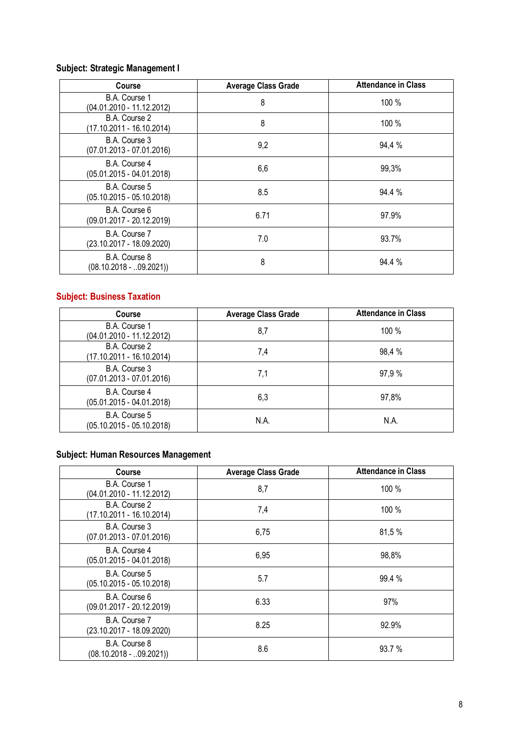# **Subject: Strategic Management I**

| <b>Course</b>                               | <b>Average Class Grade</b> | <b>Attendance in Class</b> |
|---------------------------------------------|----------------------------|----------------------------|
| B.A. Course 1<br>(04.01.2010 - 11.12.2012)  | 8                          | 100 %                      |
| B.A. Course 2<br>(17.10.2011 - 16.10.2014)  | 8                          | 100 %                      |
| B.A. Course 3<br>(07.01.2013 - 07.01.2016)  | 9,2                        | 94,4 %                     |
| B.A. Course 4<br>(05.01.2015 - 04.01.2018)  | 6,6                        | 99,3%                      |
| B.A. Course 5<br>(05.10.2015 - 05.10.2018)  | 8.5                        | 94.4 %                     |
| B.A. Course 6<br>(09.01.2017 - 20.12.2019)  | 6.71                       | 97.9%                      |
| B.A. Course 7<br>(23.10.2017 - 18.09.2020)  | 7.0                        | 93.7%                      |
| B.A. Course 8<br>$(08.10.2018 - 0.09.2021)$ | 8                          | 94.4 %                     |

# **Subject: Business Taxation**

| Course                                       | <b>Average Class Grade</b> | <b>Attendance in Class</b> |
|----------------------------------------------|----------------------------|----------------------------|
| B.A. Course 1<br>(04.01.2010 - 11.12.2012)   | 8,7                        | $100\%$                    |
| B.A. Course 2<br>(17.10.2011 - 16.10.2014)   | 7,4                        | 98,4 %                     |
| B.A. Course 3<br>$(07.01.2013 - 07.01.2016)$ | 7,1                        | 97,9 %                     |
| B.A. Course 4<br>$(05.01.2015 - 04.01.2018)$ | 6,3                        | 97,8%                      |
| B.A. Course 5<br>$(05.10.2015 - 05.10.2018)$ | N.A.                       | N.A.                       |

### **Subject: Human Resources Management**

| <b>Course</b>                                | <b>Average Class Grade</b> | <b>Attendance in Class</b> |
|----------------------------------------------|----------------------------|----------------------------|
| B.A. Course 1<br>(04.01.2010 - 11.12.2012)   | 8,7                        | 100 %                      |
| B.A. Course 2<br>(17.10.2011 - 16.10.2014)   | 7,4                        | 100 %                      |
| B.A. Course 3<br>$(07.01.2013 - 07.01.2016)$ | 6,75                       | 81,5 %                     |
| B.A. Course 4<br>(05.01.2015 - 04.01.2018)   | 6,95                       | 98,8%                      |
| B.A. Course 5<br>(05.10.2015 - 05.10.2018)   | 5.7                        | 99.4 %                     |
| B.A. Course 6<br>(09.01.2017 - 20.12.2019)   | 6.33                       | 97%                        |
| B.A. Course 7<br>(23.10.2017 - 18.09.2020)   | 8.25                       | 92.9%                      |
| B.A. Course 8<br>$(08.10.2018 - .09.2021))$  | 8.6                        | 93.7 %                     |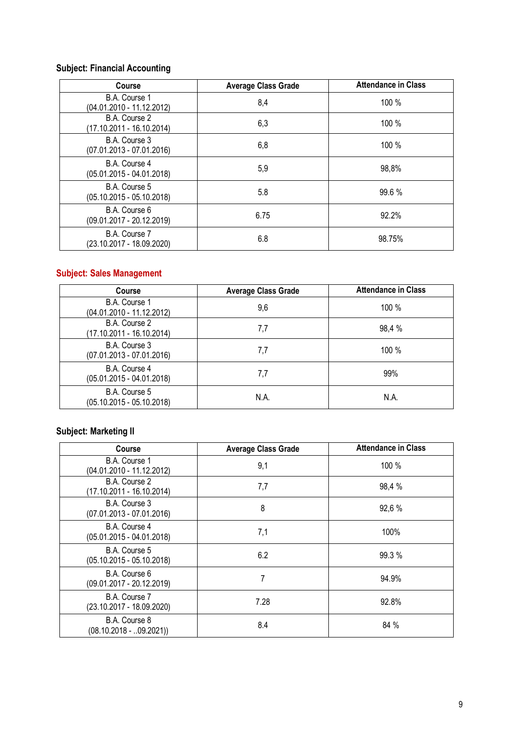### **Subject: Financial Accounting**

| Course                                       | <b>Average Class Grade</b> | <b>Attendance in Class</b> |
|----------------------------------------------|----------------------------|----------------------------|
| B.A. Course 1<br>(04.01.2010 - 11.12.2012)   | 8,4                        | 100 %                      |
| B.A. Course 2<br>(17.10.2011 - 16.10.2014)   | 6,3                        | 100 %                      |
| B.A. Course 3<br>$(07.01.2013 - 07.01.2016)$ | 6,8                        | 100 %                      |
| B.A. Course 4<br>$(05.01.2015 - 04.01.2018)$ | 5,9                        | 98,8%                      |
| B.A. Course 5<br>$(05.10.2015 - 05.10.2018)$ | 5.8                        | 99.6 %                     |
| B.A. Course 6<br>$(09.01.2017 - 20.12.2019)$ | 6.75                       | 92.2%                      |
| B.A. Course 7<br>(23.10.2017 - 18.09.2020)   | 6.8                        | 98.75%                     |

# **Subject: Sales Management**

| <b>Course</b>                                | <b>Average Class Grade</b> | <b>Attendance in Class</b> |
|----------------------------------------------|----------------------------|----------------------------|
| B.A. Course 1<br>(04.01.2010 - 11.12.2012)   | 9,6                        | $100\%$                    |
| B.A. Course 2<br>(17.10.2011 - 16.10.2014)   | 7,7                        | 98,4 %                     |
| B.A. Course 3<br>$(07.01.2013 - 07.01.2016)$ | 7,7                        | 100 %                      |
| B.A. Course 4<br>$(05.01.2015 - 04.01.2018)$ | 7,7                        | 99%                        |
| B.A. Course 5<br>(05.10.2015 - 05.10.2018)   | N.A.                       | N.A.                       |

## **Subject: Marketing II**

| <b>Course</b>                               | <b>Average Class Grade</b> | <b>Attendance in Class</b> |
|---------------------------------------------|----------------------------|----------------------------|
| B.A. Course 1<br>(04.01.2010 - 11.12.2012)  | 9,1                        | 100 %                      |
| B.A. Course 2<br>(17.10.2011 - 16.10.2014)  | 7,7                        | 98,4 %                     |
| B.A. Course 3<br>(07.01.2013 - 07.01.2016)  | 8                          | 92,6 %                     |
| B.A. Course 4<br>(05.01.2015 - 04.01.2018)  | 7,1                        | 100%                       |
| B.A. Course 5<br>(05.10.2015 - 05.10.2018)  | 6.2                        | 99.3 %                     |
| B.A. Course 6<br>(09.01.2017 - 20.12.2019)  | 7                          | 94.9%                      |
| B.A. Course 7<br>(23.10.2017 - 18.09.2020)  | 7.28                       | 92.8%                      |
| B.A. Course 8<br>$(08.10.2018 - .09.2021))$ | 8.4                        | 84 %                       |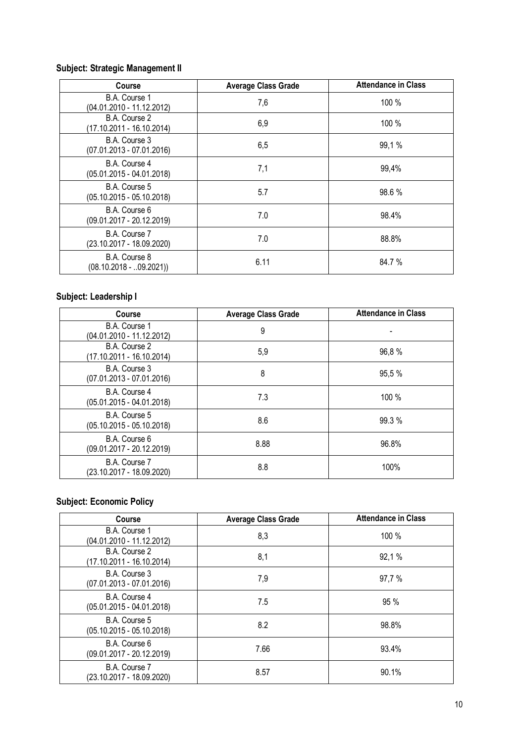# **Subject: Strategic Management II**

| <b>Course</b>                               | <b>Average Class Grade</b> | <b>Attendance in Class</b> |
|---------------------------------------------|----------------------------|----------------------------|
| B.A. Course 1<br>(04.01.2010 - 11.12.2012)  | 7,6                        | 100 %                      |
| B.A. Course 2<br>(17.10.2011 - 16.10.2014)  | 6,9                        | 100 %                      |
| B.A. Course 3<br>(07.01.2013 - 07.01.2016)  | 6,5                        | 99,1%                      |
| B.A. Course 4<br>(05.01.2015 - 04.01.2018)  | 7,1                        | 99,4%                      |
| B.A. Course 5<br>(05.10.2015 - 05.10.2018)  | 5.7                        | 98.6 %                     |
| B.A. Course 6<br>(09.01.2017 - 20.12.2019)  | 7.0                        | 98.4%                      |
| B.A. Course 7<br>(23.10.2017 - 18.09.2020)  | 7.0                        | 88.8%                      |
| B.A. Course 8<br>$(08.10.2018 - 0.09.2021)$ | 6.11                       | 84.7 %                     |

# **Subject: Leadership I**

| Course                                       | <b>Average Class Grade</b> | <b>Attendance in Class</b> |
|----------------------------------------------|----------------------------|----------------------------|
| B.A. Course 1<br>(04.01.2010 - 11.12.2012)   | 9                          |                            |
| B.A. Course 2<br>(17.10.2011 - 16.10.2014)   | 5,9                        | 96,8%                      |
| B.A. Course 3<br>$(07.01.2013 - 07.01.2016)$ | 8                          | 95,5 %                     |
| B.A. Course 4<br>$(05.01.2015 - 04.01.2018)$ | 7.3                        | 100 %                      |
| B.A. Course 5<br>$(05.10.2015 - 05.10.2018)$ | 8.6                        | 99.3%                      |
| B.A. Course 6<br>(09.01.2017 - 20.12.2019)   | 8.88                       | 96.8%                      |
| B.A. Course 7<br>(23.10.2017 - 18.09.2020)   | 8.8                        | 100%                       |

# **Subject: Economic Policy**

| Course                                       | <b>Average Class Grade</b> | <b>Attendance in Class</b> |
|----------------------------------------------|----------------------------|----------------------------|
| B.A. Course 1<br>(04.01.2010 - 11.12.2012)   | 8,3                        | 100 %                      |
| B.A. Course 2<br>(17.10.2011 - 16.10.2014)   | 8,1                        | 92,1 %                     |
| B.A. Course 3<br>$(07.01.2013 - 07.01.2016)$ | 7,9                        | 97,7%                      |
| B.A. Course 4<br>$(05.01.2015 - 04.01.2018)$ | 7.5                        | 95 %                       |
| B.A. Course 5<br>$(05.10.2015 - 05.10.2018)$ | 8.2                        | 98.8%                      |
| B.A. Course 6<br>$(09.01.2017 - 20.12.2019)$ | 7.66                       | 93.4%                      |
| B.A. Course 7<br>(23.10.2017 - 18.09.2020)   | 8.57                       | 90.1%                      |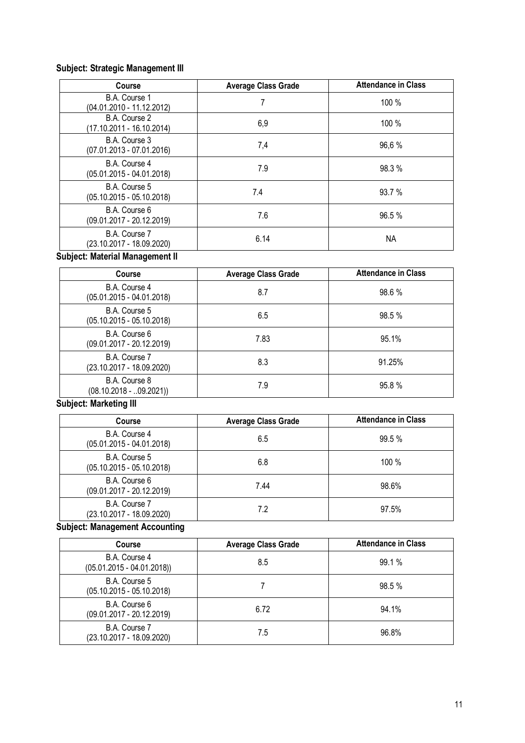### **Subject: Strategic Management III**

| <b>Course</b>                                | <b>Average Class Grade</b> | <b>Attendance in Class</b> |
|----------------------------------------------|----------------------------|----------------------------|
| B.A. Course 1<br>(04.01.2010 - 11.12.2012)   |                            | 100 %                      |
| B.A. Course 2<br>(17.10.2011 - 16.10.2014)   | 6,9                        | 100 %                      |
| B.A. Course 3<br>$(07.01.2013 - 07.01.2016)$ | 7,4                        | 96.6%                      |
| B.A. Course 4<br>$(05.01.2015 - 04.01.2018)$ | 7.9                        | 98.3 %                     |
| B.A. Course 5<br>$(05.10.2015 - 05.10.2018)$ | 7.4                        | 93.7 %                     |
| B.A. Course 6<br>$(09.01.2017 - 20.12.2019)$ | 7.6                        | 96.5%                      |
| B.A. Course 7<br>(23.10.2017 - 18.09.2020)   | 6.14                       | NA.                        |

### **Subject: Material Management II**

| Course                                       | <b>Average Class Grade</b> | <b>Attendance in Class</b> |
|----------------------------------------------|----------------------------|----------------------------|
| B.A. Course 4<br>$(05.01.2015 - 04.01.2018)$ | 8.7                        | 98.6 %                     |
| B.A. Course 5<br>$(05.10.2015 - 05.10.2018)$ | 6.5                        | 98.5 %                     |
| B.A. Course 6<br>$(09.01.2017 - 20.12.2019)$ | 7.83                       | 95.1%                      |
| B.A. Course 7<br>(23.10.2017 - 18.09.2020)   | 8.3                        | 91.25%                     |
| B.A. Course 8<br>$(08.10.2018 - 0.09.2021)$  | 7.9                        | 95.8%                      |

#### **Subject: Marketing III**

| <b>Course</b>                                | <b>Average Class Grade</b> | <b>Attendance in Class</b> |
|----------------------------------------------|----------------------------|----------------------------|
| B.A. Course 4<br>$(05.01.2015 - 04.01.2018)$ | 6.5                        | 99.5 %                     |
| B.A. Course 5<br>$(05.10.2015 - 05.10.2018)$ | 6.8                        | 100 %                      |
| B.A. Course 6<br>$(09.01.2017 - 20.12.2019)$ | 7.44                       | 98.6%                      |
| B.A. Course 7<br>(23.10.2017 - 18.09.2020)   | 7.2                        | 97.5%                      |

### **Subject: Management Accounting**

| <b>Course</b>                                 | <b>Average Class Grade</b> | <b>Attendance in Class</b> |
|-----------------------------------------------|----------------------------|----------------------------|
| B.A. Course 4<br>$(05.01.2015 - 04.01.2018))$ | 8.5                        | 99.1 %                     |
| B.A. Course 5<br>$(05.10.2015 - 05.10.2018)$  |                            | 98.5 %                     |
| B.A. Course 6<br>$(09.01.2017 - 20.12.2019)$  | 6.72                       | 94.1%                      |
| B.A. Course 7<br>(23.10.2017 - 18.09.2020)    | 7.5                        | 96.8%                      |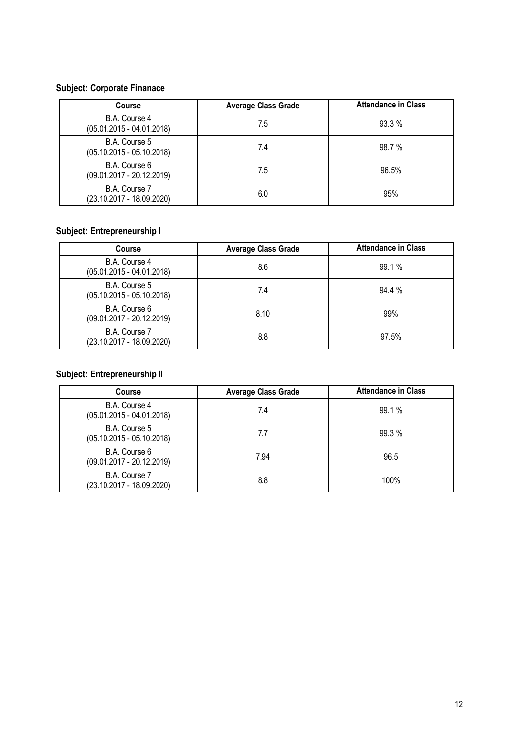# **Subject: Corporate Finanace**

| Course                                       | <b>Average Class Grade</b> | <b>Attendance in Class</b> |
|----------------------------------------------|----------------------------|----------------------------|
| B.A. Course 4<br>$(05.01.2015 - 04.01.2018)$ | 7.5                        | 93.3%                      |
| B.A. Course 5<br>$(05.10.2015 - 05.10.2018)$ | 7.4                        | 98.7%                      |
| B.A. Course 6<br>$(09.01.2017 - 20.12.2019)$ | 7.5                        | 96.5%                      |
| B.A. Course 7<br>(23.10.2017 - 18.09.2020)   | 6.0                        | 95%                        |

# **Subject: Entrepreneurship I**

| <b>Course</b>                                | <b>Average Class Grade</b> | <b>Attendance in Class</b> |
|----------------------------------------------|----------------------------|----------------------------|
| B.A. Course 4<br>$(05.01.2015 - 04.01.2018)$ | 8.6                        | 99.1%                      |
| B.A. Course 5<br>$(05.10.2015 - 05.10.2018)$ | 7.4                        | 94.4 %                     |
| B.A. Course 6<br>$(09.01.2017 - 20.12.2019)$ | 8.10                       | 99%                        |
| B.A. Course 7<br>(23.10.2017 - 18.09.2020)   | 8.8                        | 97.5%                      |

# **Subject: Entrepreneurship II**

| <b>Course</b>                                | <b>Average Class Grade</b> | <b>Attendance in Class</b> |
|----------------------------------------------|----------------------------|----------------------------|
| B.A. Course 4<br>$(05.01.2015 - 04.01.2018)$ | 7.4                        | 99.1 %                     |
| B.A. Course 5<br>$(05.10.2015 - 05.10.2018)$ | 7.7                        | 99.3 %                     |
| B.A. Course 6<br>$(09.01.2017 - 20.12.2019)$ | 7.94                       | 96.5                       |
| B.A. Course 7<br>(23.10.2017 - 18.09.2020)   | 8.8                        | 100%                       |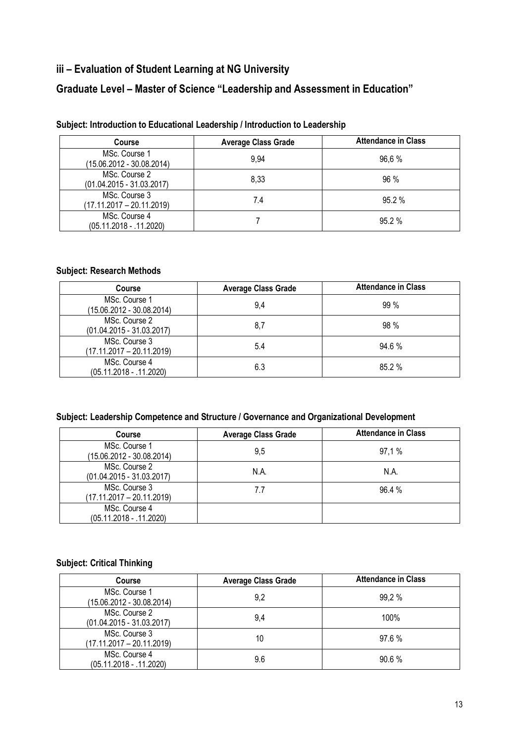# **iii – Evaluation of Student Learning at NG University**

# **Graduate Level – Master of Science "Leadership and Assessment in Education"**

| <b>Course</b>                                | <b>Average Class Grade</b> | <b>Attendance in Class</b> |
|----------------------------------------------|----------------------------|----------------------------|
| MSc. Course 1<br>(15.06.2012 - 30.08.2014)   | 9,94                       | 96.6%                      |
| MSc. Course 2<br>$(01.04.2015 - 31.03.2017)$ | 8,33                       | 96 %                       |
| MSc. Course 3<br>$(17.11.2017 - 20.11.2019)$ | 7.4                        | 95.2%                      |
| MSc. Course 4<br>(05.11.2018 - .11.2020)     |                            | 95.2%                      |

#### **Subject: Introduction to Educational Leadership / Introduction to Leadership**

#### **Subject: Research Methods**

| Course                                       | <b>Average Class Grade</b> | <b>Attendance in Class</b> |
|----------------------------------------------|----------------------------|----------------------------|
| MSc. Course 1<br>(15.06.2012 - 30.08.2014)   | 9.4                        | $99\%$                     |
| MSc. Course 2<br>$(01.04.2015 - 31.03.2017)$ | 8.7                        | 98%                        |
| MSc. Course 3<br>$(17.11.2017 - 20.11.2019)$ | 5.4                        | 94.6%                      |
| MSc. Course 4<br>$(05.11.2018 - .11.2020)$   | 6.3                        | 85.2%                      |

#### **Subject: Leadership Competence and Structure / Governance and Organizational Development**

| Course                                       | <b>Average Class Grade</b> | <b>Attendance in Class</b> |
|----------------------------------------------|----------------------------|----------------------------|
| MSc. Course 1<br>(15.06.2012 - 30.08.2014)   | 9.5                        | 97.1%                      |
| MSc. Course 2<br>$(01.04.2015 - 31.03.2017)$ | N.A.                       | N.A.                       |
| MSc. Course 3<br>$(17.11.2017 - 20.11.2019)$ | 7.7                        | 96.4%                      |
| MSc. Course 4<br>$(05.11.2018 - .11.2020)$   |                            |                            |

#### **Subject: Critical Thinking**

| <b>Course</b>                                | <b>Average Class Grade</b> | <b>Attendance in Class</b> |
|----------------------------------------------|----------------------------|----------------------------|
| MSc. Course 1<br>(15.06.2012 - 30.08.2014)   | 9,2                        | 99.2%                      |
| MSc. Course 2<br>$(01.04.2015 - 31.03.2017)$ | 9.4                        | 100%                       |
| MSc. Course 3<br>$(17.11.2017 - 20.11.2019)$ | 10                         | 97.6%                      |
| MSc. Course 4<br>$(05.11.2018 - .11.2020)$   | 9.6                        | 90.6%                      |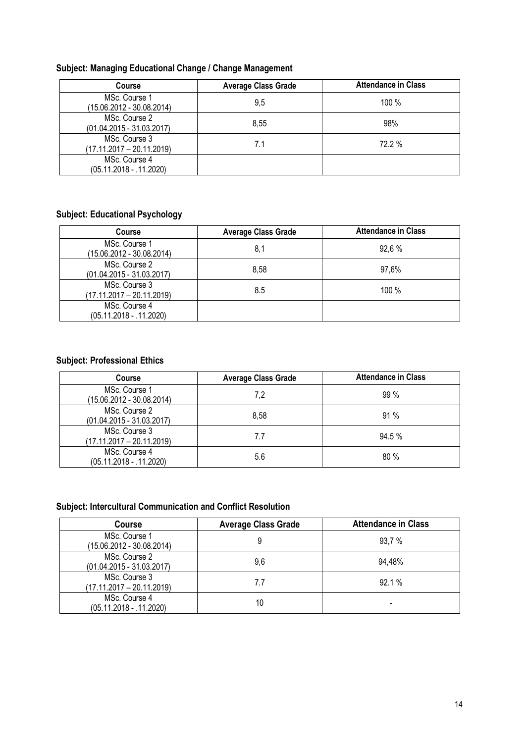#### **Subject: Managing Educational Change / Change Management**

| <b>Course</b>                                | <b>Average Class Grade</b> | <b>Attendance in Class</b> |
|----------------------------------------------|----------------------------|----------------------------|
| MSc. Course 1<br>(15.06.2012 - 30.08.2014)   | 9,5                        | $100\%$                    |
| MSc. Course 2<br>$(01.04.2015 - 31.03.2017)$ | 8.55                       | 98%                        |
| MSc. Course 3<br>$(17.11.2017 - 20.11.2019)$ |                            | 72.2 %                     |
| MSc. Course 4<br>$(05.11.2018 - .11.2020)$   |                            |                            |

### **Subject: Educational Psychology**

| <b>Course</b>                                | <b>Average Class Grade</b> | <b>Attendance in Class</b> |
|----------------------------------------------|----------------------------|----------------------------|
| MSc. Course 1<br>(15.06.2012 - 30.08.2014)   | 8,1                        | 92.6%                      |
| MSc. Course 2<br>$(01.04.2015 - 31.03.2017)$ | 8.58                       | 97,6%                      |
| MSc. Course 3<br>$(17.11.2017 - 20.11.2019)$ | 8.5                        | $100\%$                    |
| MSc. Course 4<br>$(05.11.2018 - .11.2020)$   |                            |                            |

### **Subject: Professional Ethics**

| <b>Course</b>                                | <b>Average Class Grade</b> | <b>Attendance in Class</b> |
|----------------------------------------------|----------------------------|----------------------------|
| MSc. Course 1<br>$(15.06.2012 - 30.08.2014)$ | 7,2                        | $99\%$                     |
| MSc. Course 2<br>$(01.04.2015 - 31.03.2017)$ | 8.58                       | 91%                        |
| MSc. Course 3<br>$(17.11.2017 - 20.11.2019)$ | 7.7                        | 94.5%                      |
| MSc. Course 4<br>$(05.11.2018 - .11.2020)$   | 5.6                        | 80%                        |

### **Subject: Intercultural Communication and Conflict Resolution**

| <b>Course</b>                                | <b>Average Class Grade</b> | <b>Attendance in Class</b> |
|----------------------------------------------|----------------------------|----------------------------|
| MSc. Course 1<br>(15.06.2012 - 30.08.2014)   |                            | 93,7 %                     |
| MSc. Course 2<br>$(01.04.2015 - 31.03.2017)$ | 9.6                        | 94,48%                     |
| MSc. Course 3<br>$(17.11.2017 - 20.11.2019)$ | 7.7                        | 92.1%                      |
| MSc. Course 4<br>$(05.11.2018 - .11.2020)$   | 10                         |                            |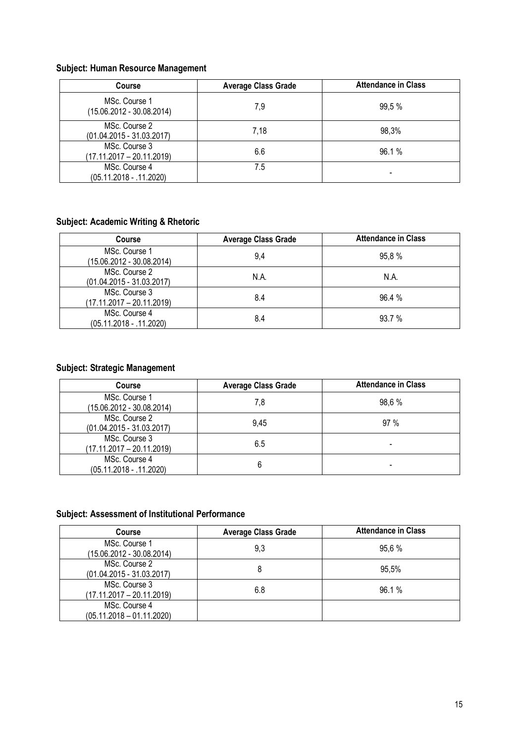#### **Subject: Human Resource Management**

| <b>Course</b>                                | <b>Average Class Grade</b> | <b>Attendance in Class</b> |
|----------------------------------------------|----------------------------|----------------------------|
| MSc. Course 1<br>$(15.06.2012 - 30.08.2014)$ | 7,9                        | 99,5 %                     |
| MSc. Course 2<br>$(01.04.2015 - 31.03.2017)$ | 7,18                       | 98,3%                      |
| MSc. Course 3<br>$(17.11.2017 - 20.11.2019)$ | 6.6                        | 96.1%                      |
| MSc. Course 4<br>$(05.11.2018 - .11.2020)$   | 7.5                        |                            |

### **Subject: Academic Writing & Rhetoric**

| <b>Course</b>                                | <b>Average Class Grade</b> | <b>Attendance in Class</b> |
|----------------------------------------------|----------------------------|----------------------------|
| MSc. Course 1<br>(15.06.2012 - 30.08.2014)   | 9,4                        | 95,8%                      |
| MSc. Course 2<br>$(01.04.2015 - 31.03.2017)$ | N.A.                       | N.A.                       |
| MSc. Course 3<br>$(17.11.2017 - 20.11.2019)$ | 8.4                        | 96.4%                      |
| MSc. Course 4<br>$(05.11.2018 - .11.2020)$   | 8.4                        | 93.7 %                     |

### **Subject: Strategic Management**

| <b>Course</b>                                | <b>Average Class Grade</b> | <b>Attendance in Class</b> |
|----------------------------------------------|----------------------------|----------------------------|
| MSc. Course 1<br>(15.06.2012 - 30.08.2014)   | 7,8                        | 98.6 %                     |
| MSc. Course 2<br>$(01.04.2015 - 31.03.2017)$ | 9.45                       | 97%                        |
| MSc. Course 3<br>$(17.11.2017 - 20.11.2019)$ | 6.5                        |                            |
| MSc. Course 4<br>$(05.11.2018 - .11.2020)$   |                            |                            |

### **Subject: Assessment of Institutional Performance**

| <b>Course</b>                                | <b>Average Class Grade</b> | <b>Attendance in Class</b> |
|----------------------------------------------|----------------------------|----------------------------|
| MSc. Course 1<br>(15.06.2012 - 30.08.2014)   | 9,3                        | 95.6%                      |
| MSc. Course 2<br>$(01.04.2015 - 31.03.2017)$ | 8                          | 95,5%                      |
| MSc. Course 3<br>$(17.11.2017 - 20.11.2019)$ | 6.8                        | 96.1%                      |
| MSc. Course 4<br>$(05.11.2018 - 01.11.2020)$ |                            |                            |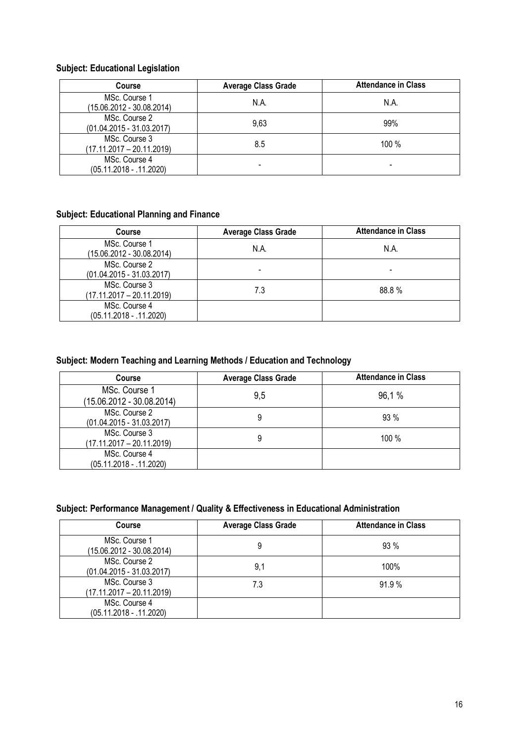#### **Subject: Educational Legislation**

| <b>Course</b>                                | <b>Average Class Grade</b> | <b>Attendance in Class</b> |
|----------------------------------------------|----------------------------|----------------------------|
| MSc. Course 1<br>(15.06.2012 - 30.08.2014)   | N.A.                       | N.A.                       |
| MSc. Course 2<br>$(01.04.2015 - 31.03.2017)$ | 9.63                       | 99%                        |
| MSc. Course 3<br>$(17.11.2017 - 20.11.2019)$ | 8.5                        | 100 %                      |
| MSc. Course 4<br>$(05.11.2018 - .11.2020)$   |                            |                            |

#### **Subject: Educational Planning and Finance**

| <b>Course</b>                                | <b>Average Class Grade</b> | <b>Attendance in Class</b> |
|----------------------------------------------|----------------------------|----------------------------|
| MSc. Course 1<br>$(15.06.2012 - 30.08.2014)$ | N.A.                       | N.A.                       |
| MSc. Course 2<br>$(01.04.2015 - 31.03.2017)$ |                            |                            |
| MSc. Course 3<br>$(17.11.2017 - 20.11.2019)$ | 7.3                        | 88.8%                      |
| MSc. Course 4<br>$(05.11.2018 - .11.2020)$   |                            |                            |

### **Subject: Modern Teaching and Learning Methods / Education and Technology**

| <b>Course</b>                                | <b>Average Class Grade</b> | <b>Attendance in Class</b> |
|----------------------------------------------|----------------------------|----------------------------|
| MSc. Course 1<br>$(15.06.2012 - 30.08.2014)$ | 9,5                        | 96,1%                      |
| MSc. Course 2<br>$(01.04.2015 - 31.03.2017)$ | 9                          | $93\%$                     |
| MSc. Course 3<br>$(17.11.2017 - 20.11.2019)$ | 9                          | 100 %                      |
| MSc. Course 4<br>$(05.11.2018 - .11.2020)$   |                            |                            |

#### **Subject: Performance Management / Quality & Effectiveness in Educational Administration**

| <b>Course</b>                                | <b>Average Class Grade</b> | <b>Attendance in Class</b> |
|----------------------------------------------|----------------------------|----------------------------|
| MSc. Course 1<br>$(15.06.2012 - 30.08.2014)$ | 9                          | $93\%$                     |
| MSc. Course 2<br>$(01.04.2015 - 31.03.2017)$ | 9,1                        | 100%                       |
| MSc. Course 3<br>$(17.11.2017 - 20.11.2019)$ | 7.3                        | 91.9%                      |
| MSc. Course 4<br>$(05.11.2018 - .11.2020)$   |                            |                            |